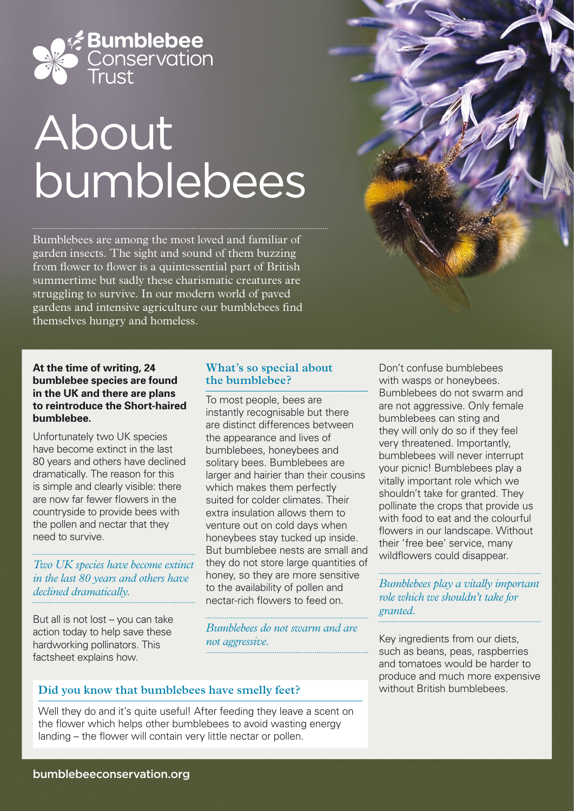

# About bumblebees

Bumblebees are among the most loved and familiar of garden insects. The sight and sound of them buzzing from flower to flower is a quintessential part of British summertime but sadly these charismatic creatures are struggling to survive. In our modern world of paved gardens and intensive agriculture our bumblebees find themselves hungry and homeless.

#### **At the time of writing, 24 bumblebee species are found in the UK and there are plans to reintroduce the Short-haired bumblebee.**

Unfortunately two UK species have become extinct in the last 80 years and others have declined dramatically. The reason for this is simple and clearly visible: there are now far fewer flowers in the countryside to provide bees with the pollen and nectar that they need to survive.

*Two UK species have become extinct in the last 80 years and others have declined dramatically.*

But all is not lost – you can take action today to help save these hardworking pollinators. This factsheet explains how.

### **What's so special about the bumblebee?**

To most people, bees are instantly recognisable but there are distinct differences between the appearance and lives of bumblebees, honeybees and solitary bees. Bumblebees are larger and hairier than their cousins which makes them perfectly suited for colder climates. Their extra insulation allows them to venture out on cold days when honeybees stay tucked up inside. But bumblebee nests are small and they do not store large quantities of honey, so they are more sensitive to the availability of pollen and nectar-rich flowers to feed on.

*Bumblebees do not swarm and are not aggressive.*

Don't confuse bumblebees with wasps or honeybees. Bumblebees do not swarm and are not aggressive. Only female bumblebees can sting and they will only do so if they feel very threatened. Importantly, bumblebees will never interrupt your picnic! Bumblebees play a vitally important role which we shouldn't take for granted. They pollinate the crops that provide us with food to eat and the colourful flowers in our landscape. Without their 'free bee' service, many wildflowers could disappear.

*Bumblebees play a vitally important role which we shouldn't take for granted.* 

Key ingredients from our diets, such as beans, peas, raspberries and tomatoes would be harder to produce and much more expensive without British bumblebees.

## **Did you know that bumblebees have smelly feet?**

Well they do and it's quite useful! After feeding they leave a scent on the flower which helps other bumblebees to avoid wasting energy landing – the flower will contain very little nectar or pollen.